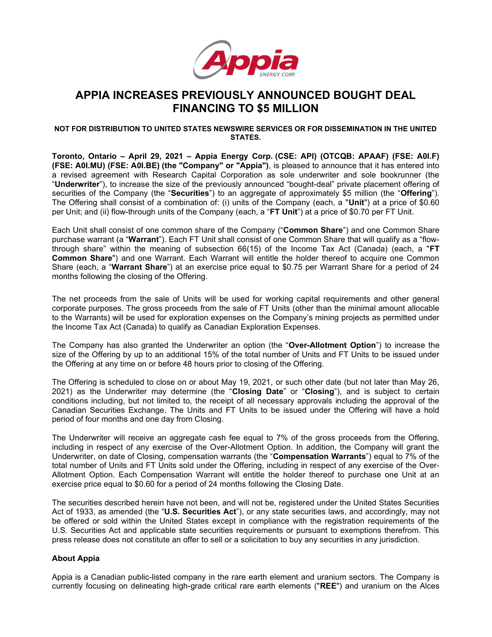

# APPIA INCREASES PREVIOUSLY ANNOUNCED BOUGHT DEAL FINANCING TO \$5 MILLION

## NOT FOR DISTRIBUTION TO UNITED STATES NEWSWIRE SERVICES OR FOR DISSEMINATION IN THE UNITED **STATES**

Toronto, Ontario – April 29, 2021 – Appia Energy Corp. (CSE: API) (OTCQB: APAAF) (FSE: A0I.F) (FSE: A0I.MU) (FSE: A0I.BE) (the "Company" or "Appia"), is pleased to announce that it has entered into a revised agreement with Research Capital Corporation as sole underwriter and sole bookrunner (the "Underwriter"), to increase the size of the previously announced "bought-deal" private placement offering of securities of the Company (the "Securities") to an aggregate of approximately \$5 million (the "Offering"). The Offering shall consist of a combination of: (i) units of the Company (each, a "Unit") at a price of \$0.60 per Unit; and (ii) flow-through units of the Company (each, a "FT Unit") at a price of \$0.70 per FT Unit.

Each Unit shall consist of one common share of the Company ("Common Share") and one Common Share purchase warrant (a "Warrant"). Each FT Unit shall consist of one Common Share that will qualify as a "flowthrough share" within the meaning of subsection  $66(15)$  of the Income Tax Act (Canada) (each, a "FT Common Share") and one Warrant. Each Warrant will entitle the holder thereof to acquire one Common Share (each, a "Warrant Share") at an exercise price equal to \$0.75 per Warrant Share for a period of 24 months following the closing of the Offering.

The net proceeds from the sale of Units will be used for working capital requirements and other general corporate purposes. The gross proceeds from the sale of FT Units (other than the minimal amount allocable to the Warrants) will be used for exploration expenses on the Company's mining projects as permitted under the Income Tax Act (Canada) to qualify as Canadian Exploration Expenses.

The Company has also granted the Underwriter an option (the "Over-Allotment Option") to increase the size of the Offering by up to an additional 15% of the total number of Units and FT Units to be issued under the Offering at any time on or before 48 hours prior to closing of the Offering.

The Offering is scheduled to close on or about May 19, 2021, or such other date (but not later than May 26, 2021) as the Underwriter may determine (the "Closing Date" or "Closing"), and is subject to certain conditions including, but not limited to, the receipt of all necessary approvals including the approval of the Canadian Securities Exchange. The Units and FT Units to be issued under the Offering will have a hold period of four months and one day from Closing.

The Underwriter will receive an aggregate cash fee equal to 7% of the gross proceeds from the Offering, including in respect of any exercise of the Over-Allotment Option. In addition, the Company will grant the Underwriter, on date of Closing, compensation warrants (the "Compensation Warrants") equal to 7% of the total number of Units and FT Units sold under the Offering, including in respect of any exercise of the Over-Allotment Option. Each Compensation Warrant will entitle the holder thereof to purchase one Unit at an exercise price equal to \$0.60 for a period of 24 months following the Closing Date.

The securities described herein have not been, and will not be, registered under the United States Securities Act of 1933, as amended (the "U.S. Securities Act"), or any state securities laws, and accordingly, may not be offered or sold within the United States except in compliance with the registration requirements of the U.S. Securities Act and applicable state securities requirements or pursuant to exemptions therefrom. This press release does not constitute an offer to sell or a solicitation to buy any securities in any jurisdiction.

## About Appia

Appia is a Canadian public-listed company in the rare earth element and uranium sectors. The Company is currently focusing on delineating high-grade critical rare earth elements ("REE") and uranium on the Alces